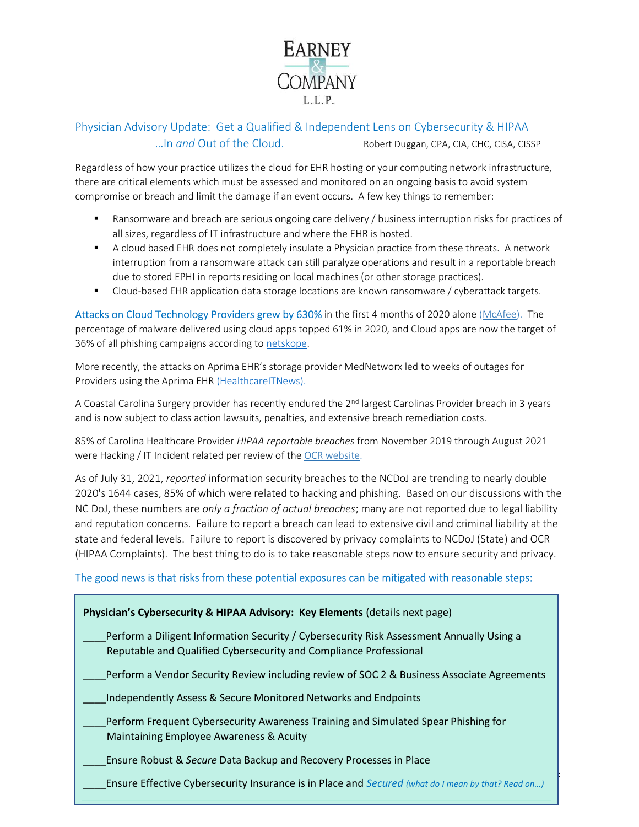

## Physician Advisory Update: Get a Qualified & Independent Lens on Cybersecurity & HIPAA ...In and Out of the Cloud. Robert Duggan, CPA, CIA, CHC, CISA, CISSP

Regardless of how your practice utilizes the cloud for EHR hosting or your computing network infrastructure, there are critical elements which must be assessed and monitored on an ongoing basis to avoid system compromise or breach and limit the damage if an event occurs. A few key things to remember:

- Ransomware and breach are serious ongoing care delivery / business interruption risks for practices of all sizes, regardless of IT infrastructure and where the EHR is hosted.
- **A** cloud based EHR does not completely insulate a Physician practice from these threats. A network interruption from a ransomware attack can still paralyze operations and result in a reportable breach due to stored EPHI in reports residing on local machines (or other storage practices).
- **Cloud-based EHR application data storage locations are known ransomware / cyberattack targets.**

Attacks on Cloud Technology Providers grew by 630% in the first 4 months of 2020 alone (McAfee). The percentage of malware delivered using cloud apps topped 61% in 2020, and Cloud apps are now the target of 36% of all phishing campaigns according to netskope.

More recently, the attacks on Aprima EHR's storage provider MedNetworx led to weeks of outages for Providers using the Aprima EHR (HealthcareITNews).

A Coastal Carolina Surgery provider has recently endured the 2<sup>nd</sup> largest Carolinas Provider breach in 3 years and is now subject to class action lawsuits, penalties, and extensive breach remediation costs.

85% of Carolina Healthcare Provider HIPAA reportable breaches from November 2019 through August 2021 were Hacking / IT Incident related per review of the OCR website.

As of July 31, 2021, reported information security breaches to the NCDoJ are trending to nearly double 2020's 1644 cases, 85% of which were related to hacking and phishing. Based on our discussions with the NC DoJ, these numbers are only a fraction of actual breaches; many are not reported due to legal liability and reputation concerns. Failure to report a breach can lead to extensive civil and criminal liability at the state and federal levels. Failure to report is discovered by privacy complaints to NCDoJ (State) and OCR (HIPAA Complaints). The best thing to do is to take reasonable steps now to ensure security and privacy.

## The good news is that risks from these potential exposures can be mitigated with reasonable steps:

| Physician's Cybersecurity & HIPAA Advisory: Key Elements (details next page)                                                                                  |
|---------------------------------------------------------------------------------------------------------------------------------------------------------------|
| Perform a Diligent Information Security / Cybersecurity Risk Assessment Annually Using a<br>Reputable and Qualified Cybersecurity and Compliance Professional |
| Perform a Vendor Security Review including review of SOC 2 & Business Associate Agreements                                                                    |
| Independently Assess & Secure Monitored Networks and Endpoints                                                                                                |
| Perform Frequent Cybersecurity Awareness Training and Simulated Spear Phishing for<br>Maintaining Employee Awareness & Acuity                                 |
| Ensure Robust & Secure Data Backup and Recovery Processes in Place                                                                                            |
| Ensure Effective Cybersecurity Insurance is in Place and Secured (what do I mean by that? Read on)                                                            |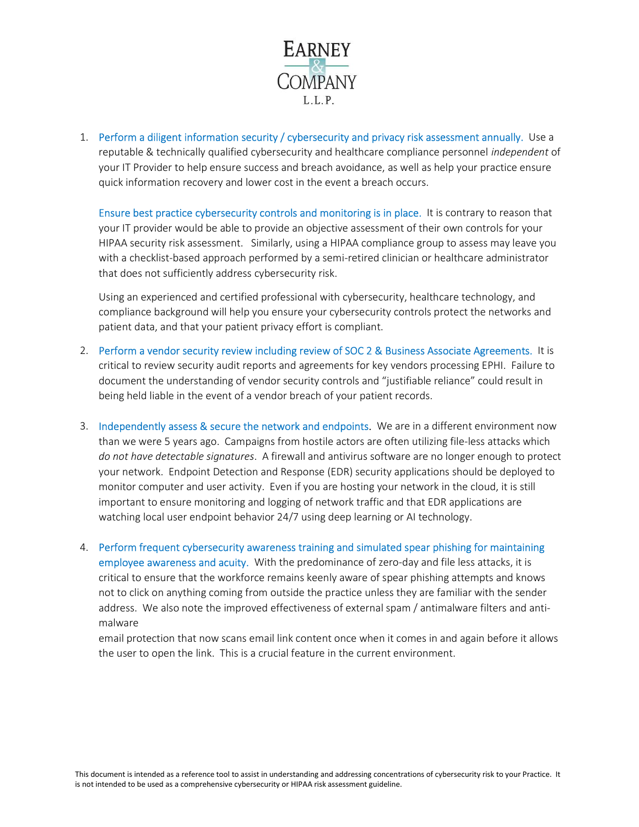

1. Perform a diligent information security / cybersecurity and privacy risk assessment annually. Use a reputable & technically qualified cybersecurity and healthcare compliance personnel independent of your IT Provider to help ensure success and breach avoidance, as well as help your practice ensure quick information recovery and lower cost in the event a breach occurs.

Ensure best practice cybersecurity controls and monitoring is in place. It is contrary to reason that your IT provider would be able to provide an objective assessment of their own controls for your HIPAA security risk assessment. Similarly, using a HIPAA compliance group to assess may leave you with a checklist-based approach performed by a semi-retired clinician or healthcare administrator that does not sufficiently address cybersecurity risk.

Using an experienced and certified professional with cybersecurity, healthcare technology, and compliance background will help you ensure your cybersecurity controls protect the networks and patient data, and that your patient privacy effort is compliant.

- 2. Perform a vendor security review including review of SOC 2 & Business Associate Agreements. It is critical to review security audit reports and agreements for key vendors processing EPHI. Failure to document the understanding of vendor security controls and "justifiable reliance" could result in being held liable in the event of a vendor breach of your patient records.
- 3. Independently assess & secure the network and endpoints. We are in a different environment now than we were 5 years ago. Campaigns from hostile actors are often utilizing file-less attacks which do not have detectable signatures. A firewall and antivirus software are no longer enough to protect your network. Endpoint Detection and Response (EDR) security applications should be deployed to monitor computer and user activity. Even if you are hosting your network in the cloud, it is still important to ensure monitoring and logging of network traffic and that EDR applications are watching local user endpoint behavior 24/7 using deep learning or AI technology.
- 4. Perform frequent cybersecurity awareness training and simulated spear phishing for maintaining employee awareness and acuity. With the predominance of zero-day and file less attacks, it is critical to ensure that the workforce remains keenly aware of spear phishing attempts and knows not to click on anything coming from outside the practice unless they are familiar with the sender address. We also note the improved effectiveness of external spam / antimalware filters and antimalware

email protection that now scans email link content once when it comes in and again before it allows the user to open the link. This is a crucial feature in the current environment.